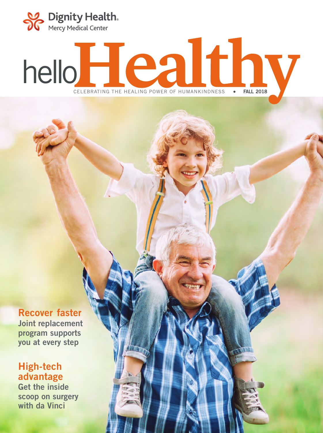

# helloHealthy ELEBRATING THE HEALING POWER OF HUMANKINDNESS . FALL 2018

[Recover faster](#page-3-0) Joint replacement program supports you at every step

## High-tech advantage

Get the inside [scoop on surgery](#page-5-0)  with da Vinci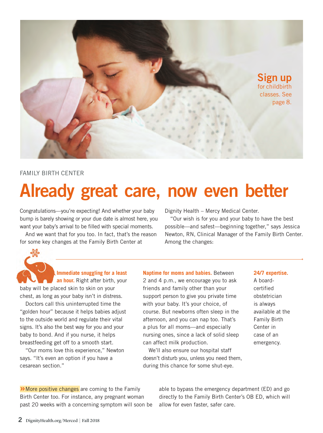<span id="page-1-0"></span>

#### FAMILY BIRTH CENTER

# Already great care, now even better

Congratulations—you're expecting! And whether your baby bump is barely showing or your due date is almost here, you want your baby's arrival to be filled with special moments.

And we want that for you too. In fact, that's the reason for some key changes at the Family Birth Center at

#### Dignity Health – Mercy Medical Center.

"Our wish is for you and your baby to have the best possible—and safest—beginning together," says Jessica Newton, RN, Clinical Manager of the Family Birth Center. Among the changes:



**Immediate snuggling for a least an hour.** Right after birth, your

baby will be placed skin to skin on your chest, as long as your baby isn't in distress.

Doctors call this uninterrupted time the "golden hour" because it helps babies adjust to the outside world and regulate their vital signs. It's also the best way for you and your baby to bond. And if you nurse, it helps breastfeeding get off to a smooth start.

"Our moms love this experience," Newton says. "It's even an option if you have a cesarean section."

**Naptime for moms and babies.** Between 2 and 4 p.m., we encourage you to ask friends and family other than your support person to give you private time with your baby. It's your choice, of course. But newborns often sleep in the afternoon, and you can nap too. That's a plus for all moms—and especially nursing ones, since a lack of solid sleep can affect milk production.

We'll also ensure our hospital staff doesn't disturb you, unless you need them, during this chance for some shut-eye.

#### **24/7 expertise.**

A boardcertified obstetrician is always available at the Family Birth Center in case of an emergency.

»More positive changes are coming to the Family Birth Center too. For instance, any pregnant woman past 20 weeks with a concerning symptom will soon be

able to bypass the emergency department (ED) and go directly to the Family Birth Center's OB ED, which will allow for even faster, safer care.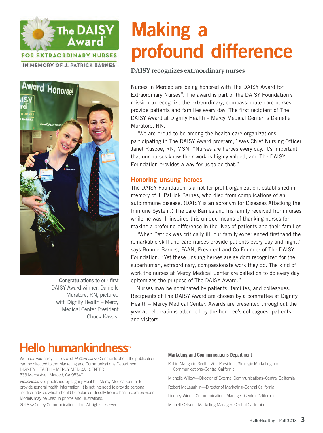



Congratulations to our first DAISY Award winner, Danielle Muratore, RN, pictured with Dignity Health – Mercy Medical Center President Chuck Kassis.

# Making a profound difference

DAISY recognizes extraordinary nurses

Nurses in Merced are being honored with The DAISY Award for Extraordinary Nurses® . The award is part of the DAISY Foundation's mission to recognize the extraordinary, compassionate care nurses provide patients and families every day. The first recipient of The DAISY Award at Dignity Health – Mercy Medical Center is Danielle Muratore, RN.

"We are proud to be among the health care organizations participating in The DAISY Award program," says Chief Nursing Officer Janet Ruscoe, RN, MSN. "Nurses are heroes every day. It's important that our nurses know their work is highly valued, and The DAISY Foundation provides a way for us to do that."

#### Honoring unsung heroes

The DAISY Foundation is a not-for-profit organization, established in memory of J. Patrick Barnes, who died from complications of an autoimmune disease. (DAISY is an acronym for Diseases Attacking the Immune System.) The care Barnes and his family received from nurses while he was ill inspired this unique means of thanking nurses for making a profound difference in the lives of patients and their families.

"When Patrick was critically ill, our family experienced firsthand the remarkable skill and care nurses provide patients every day and night," says Bonnie Barnes, FAAN, President and Co-Founder of The DAISY Foundation. "Yet these unsung heroes are seldom recognized for the superhuman, extraordinary, compassionate work they do. The kind of work the nurses at Mercy Medical Center are called on to do every day epitomizes the purpose of The DAISY Award."

Nurses may be nominated by patients, families, and colleagues. Recipients of The DAISY Award are chosen by a committee at Dignity Health – Mercy Medical Center. Awards are presented throughout the year at celebrations attended by the honoree's colleagues, patients, and visitors.

# **Hello humankindness<sup>®</sup>**

We hope you enjoy this issue of *HelloHealthy*. Comments about the publication can be directed to the Marketing and Communications Department: DIGNITY HEALTH – MERCY MEDICAL CENTER 333 Mercy Ave., Merced, CA 95340

*HelloHealthy* is published by Dignity Health – Mercy Medical Center to provide general health information. It is not intended to provide personal medical advice, which should be obtained directly from a health care provider. Models may be used in photos and illustrations.

2018 © Coffey Communications, Inc. All rights reserved.

#### **Marketing and Communications Department**

Robin Mangarin-Scott—Vice President, Strategic Marketing and Communications–Central California

Michelle Willow—Director of External Communications–Central California

Robert McLaughlin—Director of Marketing–Central California

Lindsey Wine—Communications Manager–Central California

Michelle Oliver—Marketing Manager–Central California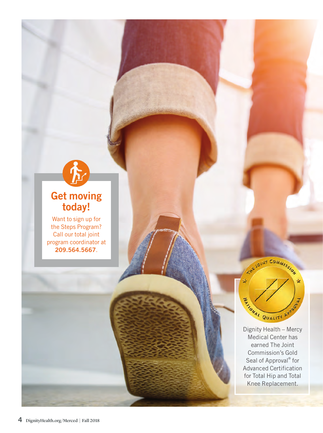<span id="page-3-0"></span>

# Get moving today!

Want to sign up for the Steps Program? Call our total joint program coordinator at 209.564.5667.



Medical Center has earned The Joint Commission's Gold Seal of Approval<sup>®</sup> for Advanced Certification for Total Hip and Total Knee Replacement.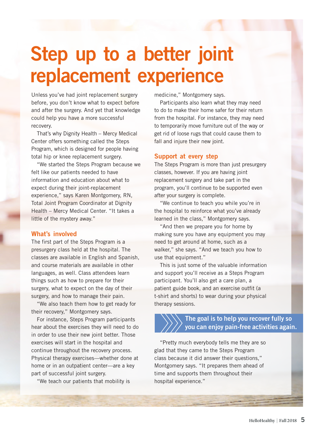# Step up to a better joint replacement experience

Unless you've had joint replacement surgery before, you don't know what to expect before and after the surgery. And yet that knowledge could help you have a more successful recovery.

That's why Dignity Health – Mercy Medical Center offers something called the Steps Program, which is designed for people having total hip or knee replacement surgery.

"We started the Steps Program because we felt like our patients needed to have information and education about what to expect during their joint-replacement experience," says Karen Montgomery, RN, Total Joint Program Coordinator at Dignity Health – Mercy Medical Center. "It takes a little of the mystery away."

#### What's involved

The first part of the Steps Program is a presurgery class held at the hospital. The classes are available in English and Spanish, and course materials are available in other languages, as well. Class attendees learn things such as how to prepare for their surgery, what to expect on the day of their surgery, and how to manage their pain.

"We also teach them how to get ready for their recovery," Montgomery says.

For instance, Steps Program participants hear about the exercises they will need to do in order to use their new joint better. Those exercises will start in the hospital and continue throughout the recovery process. Physical therapy exercises—whether done at home or in an outpatient center—are a key part of successful joint surgery.

"We teach our patients that mobility is

medicine," Montgomery says.

Participants also learn what they may need to do to make their home safer for their return from the hospital. For instance, they may need to temporarily move furniture out of the way or get rid of loose rugs that could cause them to fall and injure their new joint.

#### Support at every step

The Steps Program is more than just presurgery classes, however. If you are having joint replacement surgery and take part in the program, you'll continue to be supported even after your surgery is complete.

"We continue to teach you while you're in the hospital to reinforce what you've already learned in the class," Montgomery says.

"And then we prepare you for home by making sure you have any equipment you may need to get around at home, such as a walker," she says. "And we teach you how to use that equipment."

This is just some of the valuable information and support you'll receive as a Steps Program participant. You'll also get a care plan, a patient guide book, and an exercise outfit (a t-shirt and shorts) to wear during your physical therapy sessions.

#### The goal is to help you recover fully so you can enjoy pain-free activities again.

"Pretty much everybody tells me they are so glad that they came to the Steps Program class because it did answer their questions," Montgomery says. "It prepares them ahead of time and supports them throughout their hospital experience."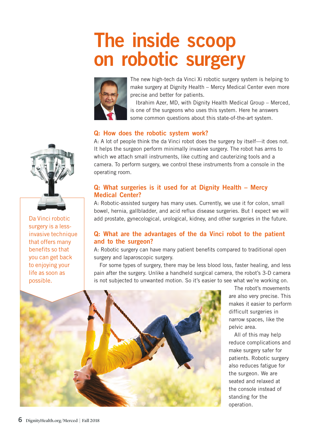# <span id="page-5-0"></span>The inside scoop on robotic surgery



The new high-tech da Vinci Xi robotic surgery system is helping to make surgery at Dignity Health – Mercy Medical Center even more precise and better for patients.

Ibrahim Azer, MD, with Dignity Health Medical Group – Merced, is one of the surgeons who uses this system. Here he answers some common questions about this state-of-the-art system.

#### Q: How does the robotic system work?

A: A lot of people think the da Vinci robot does the surgery by itself—it does not. It helps the surgeon perform minimally invasive surgery. The robot has arms to which we attach small instruments, like cutting and cauterizing tools and a camera. To perform surgery, we control these instruments from a console in the operating room.

#### Q: What surgeries is it used for at Dignity Health – Mercy Medical Center?

A: Robotic-assisted surgery has many uses. Currently, we use it for colon, small bowel, hernia, gallbladder, and acid reflux disease surgeries. But I expect we will add prostate, gynecological, urological, kidney, and other surgeries in the future.

#### Q: What are the advantages of the da Vinci robot to the patient and to the surgeon?

A: Robotic surgery can have many patient benefits compared to traditional open surgery and laparoscopic surgery.

For some types of surgery, there may be less blood loss, faster healing, and less pain after the surgery. Unlike a handheld surgical camera, the robot's 3-D camera is not subjected to unwanted motion. So it's easier to see what we're working on.



The robot's movements are also very precise. This makes it easier to perform difficult surgeries in narrow spaces, like the pelvic area.

All of this may help reduce complications and make surgery safer for patients. Robotic surgery also reduces fatigue for the surgeon. We are seated and relaxed at the console instead of standing for the operation.



Da Vinci robotic surgery is a lessinvasive technique that offers many benefits so that you can get back to enjoying your life as soon as possible.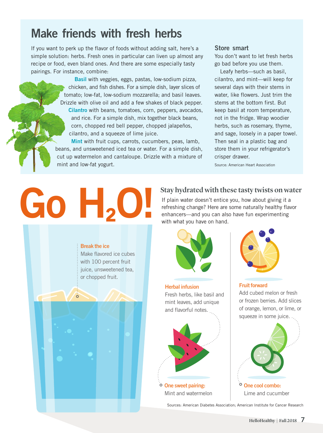# Make friends with fresh herbs

If you want to perk up the flavor of foods without adding salt, here's a simple solution: herbs. Fresh ones in particular can liven up almost any recipe or food, even bland ones. And there are some especially tasty pairings. For instance, combine:

> Basil with veggies, eggs, pastas, low-sodium pizza, chicken, and fish dishes. For a simple dish, layer slices of tomato; low-fat, low-sodium mozzarella; and basil leaves. Drizzle with olive oil and add a few shakes of black pepper. Cilantro with beans, tomatoes, corn, peppers, avocados, and rice. For a simple dish, mix together black beans, corn, chopped red bell pepper, chopped jalapeños, cilantro, and a squeeze of lime juice.

Mint with fruit cups, carrots, cucumbers, peas, lamb, beans, and unsweetened iced tea or water. For a simple dish, cut up watermelon and cantaloupe. Drizzle with a mixture of mint and low-fat yogurt.

#### Store smart

You don't want to let fresh herbs go bad before you use them.

Leafy herbs—such as basil, cilantro, and mint—will keep for several days with their stems in water, like flowers. Just trim the stems at the bottom first. But keep basil at room temperature, not in the fridge. Wrap woodier herbs, such as rosemary, thyme, and sage, loosely in a paper towel. Then seal in a plastic bag and store them in your refrigerator's crisper drawer.

Source: American Heart Association

# If plain water doesn't entice you, how about giving it a<br>refreshing change? Here are some naturally healthy flavenhancers—and you can also have fun experimenting

Break the ice

or chopped fruit.

Make flavored ice cubes with 100 percent fruit juice, unsweetened tea,

#### Stay hydrated with these tasty twists on water

refreshing change? Here are some naturally healthy flavor enhancers—and you can also have fun experimenting with what you have on hand.



Herbal infusion Fresh herbs, like basil and mint leaves, add unique and flavorful notes.



Fruit forward Add cubed melon or fresh or frozen berries. Add slices of orange, lemon, or lime, or squeeze in some juice. .



Lime and cucumber

Sources: American Diabetes Association; American Institute for Cancer Research